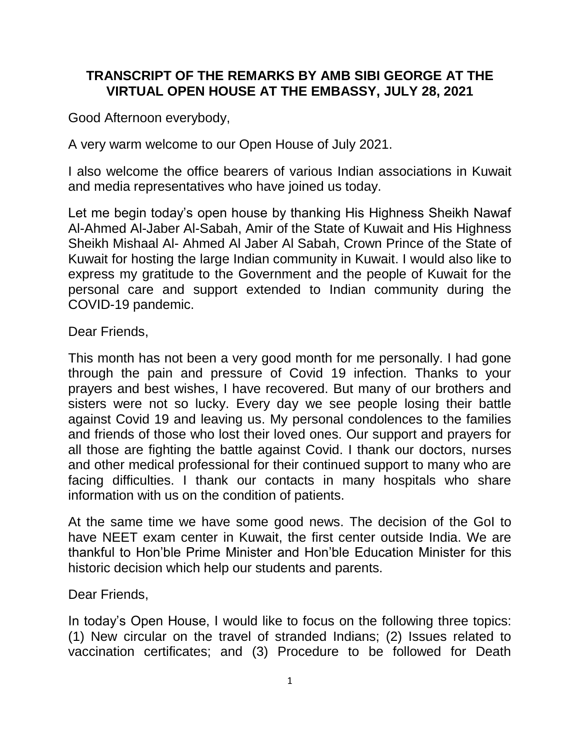## **TRANSCRIPT OF THE REMARKS BY AMB SIBI GEORGE AT THE VIRTUAL OPEN HOUSE AT THE EMBASSY, JULY 28, 2021**

Good Afternoon everybody,

A very warm welcome to our Open House of July 2021.

I also welcome the office bearers of various Indian associations in Kuwait and media representatives who have joined us today.

Let me begin today's open house by thanking His Highness Sheikh Nawaf Al-Ahmed Al-Jaber Al-Sabah, Amir of the State of Kuwait and His Highness Sheikh Mishaal Al- Ahmed Al Jaber Al Sabah, Crown Prince of the State of Kuwait for hosting the large Indian community in Kuwait. I would also like to express my gratitude to the Government and the people of Kuwait for the personal care and support extended to Indian community during the COVID-19 pandemic.

Dear Friends,

This month has not been a very good month for me personally. I had gone through the pain and pressure of Covid 19 infection. Thanks to your prayers and best wishes, I have recovered. But many of our brothers and sisters were not so lucky. Every day we see people losing their battle against Covid 19 and leaving us. My personal condolences to the families and friends of those who lost their loved ones. Our support and prayers for all those are fighting the battle against Covid. I thank our doctors, nurses and other medical professional for their continued support to many who are facing difficulties. I thank our contacts in many hospitals who share information with us on the condition of patients.

At the same time we have some good news. The decision of the GoI to have NEET exam center in Kuwait, the first center outside India. We are thankful to Hon'ble Prime Minister and Hon'ble Education Minister for this historic decision which help our students and parents.

Dear Friends,

In today's Open House, I would like to focus on the following three topics: (1) New circular on the travel of stranded Indians; (2) Issues related to vaccination certificates; and (3) Procedure to be followed for Death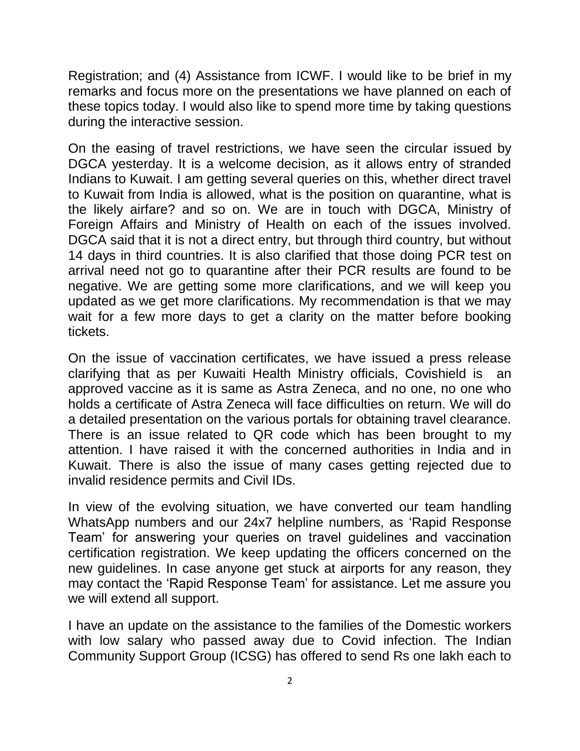Registration; and (4) Assistance from ICWF. I would like to be brief in my remarks and focus more on the presentations we have planned on each of these topics today. I would also like to spend more time by taking questions during the interactive session.

On the easing of travel restrictions, we have seen the circular issued by DGCA yesterday. It is a welcome decision, as it allows entry of stranded Indians to Kuwait. I am getting several queries on this, whether direct travel to Kuwait from India is allowed, what is the position on quarantine, what is the likely airfare? and so on. We are in touch with DGCA, Ministry of Foreign Affairs and Ministry of Health on each of the issues involved. DGCA said that it is not a direct entry, but through third country, but without 14 days in third countries. It is also clarified that those doing PCR test on arrival need not go to quarantine after their PCR results are found to be negative. We are getting some more clarifications, and we will keep you updated as we get more clarifications. My recommendation is that we may wait for a few more days to get a clarity on the matter before booking tickets.

On the issue of vaccination certificates, we have issued a press release clarifying that as per Kuwaiti Health Ministry officials, Covishield is an approved vaccine as it is same as Astra Zeneca, and no one, no one who holds a certificate of Astra Zeneca will face difficulties on return. We will do a detailed presentation on the various portals for obtaining travel clearance. There is an issue related to QR code which has been brought to my attention. I have raised it with the concerned authorities in India and in Kuwait. There is also the issue of many cases getting rejected due to invalid residence permits and Civil IDs.

In view of the evolving situation, we have converted our team handling WhatsApp numbers and our 24x7 helpline numbers, as 'Rapid Response Team' for answering your queries on travel guidelines and vaccination certification registration. We keep updating the officers concerned on the new guidelines. In case anyone get stuck at airports for any reason, they may contact the 'Rapid Response Team' for assistance. Let me assure you we will extend all support.

I have an update on the assistance to the families of the Domestic workers with low salary who passed away due to Covid infection. The Indian Community Support Group (ICSG) has offered to send Rs one lakh each to